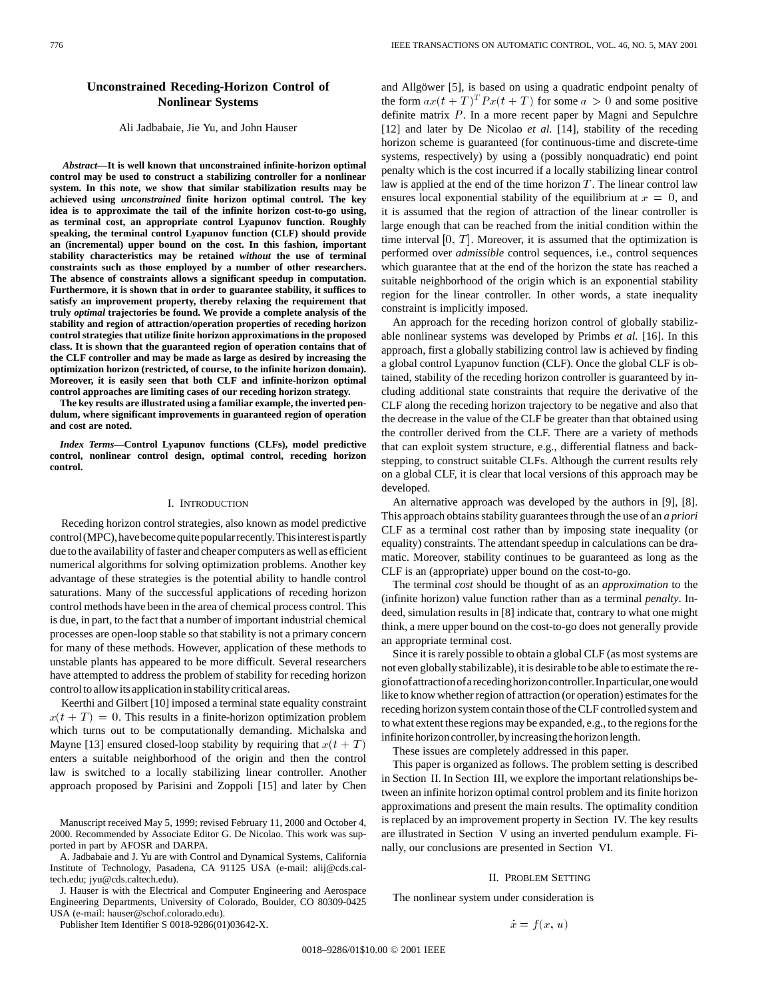# **Unconstrained Receding-Horizon Control of Nonlinear Systems**

### Ali Jadbabaie, Jie Yu, and John Hauser

*Abstract—***It is well known that unconstrained infinite-horizon optimal control may be used to construct a stabilizing controller for a nonlinear system. In this note, we show that similar stabilization results may be achieved using** *unconstrained* **finite horizon optimal control. The key idea is to approximate the tail of the infinite horizon cost-to-go using, as terminal cost, an appropriate control Lyapunov function. Roughly speaking, the terminal control Lyapunov function (CLF) should provide an (incremental) upper bound on the cost. In this fashion, important stability characteristics may be retained** *without* **the use of terminal constraints such as those employed by a number of other researchers. The absence of constraints allows a significant speedup in computation. Furthermore, it is shown that in order to guarantee stability, it suffices to satisfy an improvement property, thereby relaxing the requirement that truly** *optimal* **trajectories be found. We provide a complete analysis of the stability and region of attraction/operation properties of receding horizon control strategies that utilize finite horizon approximations in the proposed class. It is shown that the guaranteed region of operation contains that of the CLF controller and may be made as large as desired by increasing the optimization horizon (restricted, of course, to the infinite horizon domain). Moreover, it is easily seen that both CLF and infinite-horizon optimal control approaches are limiting cases of our receding horizon strategy.**

**The key results are illustrated using a familiar example, the inverted pendulum, where significant improvements in guaranteed region of operation and cost are noted.**

*Index Terms—***Control Lyapunov functions (CLFs), model predictive control, nonlinear control design, optimal control, receding horizon control.**

# I. INTRODUCTION

Receding horizon control strategies, also known as model predictive control (MPC), have become quite popular recently. This interest is partly due to the availability of faster and cheaper computers as well as efficient numerical algorithms for solving optimization problems. Another key advantage of these strategies is the potential ability to handle control saturations. Many of the successful applications of receding horizon control methods have been in the area of chemical process control. This is due, in part, to the fact that a number of important industrial chemical processes are open-loop stable so that stability is not a primary concern for many of these methods. However, application of these methods to unstable plants has appeared to be more difficult. Several researchers have attempted to address the problem of stability for receding horizon control to allow itsapplicationinstabilitycriticalareas.

Keerthi and Gilbert [10] imposed a terminal state equality constraint  $x(t + T) = 0$ . This results in a finite-horizon optimization problem which turns out to be computationally demanding. Michalska and Mayne [13] ensured closed-loop stability by requiring that  $x(t + T)$ enters a suitable neighborhood of the origin and then the control law is switched to a locally stabilizing linear controller. Another approach proposed by Parisini and Zoppoli [15] and later by Chen

Manuscript received May 5, 1999; revised February 11, 2000 and October 4, 2000. Recommended by Associate Editor G. De Nicolao. This work was supported in part by AFOSR and DARPA.

A. Jadbabaie and J. Yu are with Control and Dynamical Systems, California Institute of Technology, Pasadena, CA 91125 USA (e-mail: alij@cds.caltech.edu; jyu@cds.caltech.edu).

J. Hauser is with the Electrical and Computer Engineering and Aerospace Engineering Departments, University of Colorado, Boulder, CO 80309-0425 USA (e-mail: hauser@schof.colorado.edu).

Publisher Item Identifier S 0018-9286(01)03642-X.

and Allgöwer [5], is based on using a quadratic endpoint penalty of the form  $ax(t+T)^T P x(t+T)$  for some  $a > 0$  and some positive definite matrix P. In a more recent paper by Magni and Sepulchre [12] and later by De Nicolao *et al.* [14], stability of the receding horizon scheme is guaranteed (for continuous-time and discrete-time systems, respectively) by using a (possibly nonquadratic) end point penalty which is the cost incurred if a locally stabilizing linear control law is applied at the end of the time horizon  $T$ . The linear control law ensures local exponential stability of the equilibrium at  $x = 0$ , and it is assumed that the region of attraction of the linear controller is large enough that can be reached from the initial condition within the time interval  $[0, T]$ . Moreover, it is assumed that the optimization is performed over *admissible* control sequences, i.e., control sequences which guarantee that at the end of the horizon the state has reached a suitable neighborhood of the origin which is an exponential stability region for the linear controller. In other words, a state inequality constraint is implicitly imposed.

An approach for the receding horizon control of globally stabilizable nonlinear systems was developed by Primbs *et al.* [16]. In this approach, first a globally stabilizing control law is achieved by finding a global control Lyapunov function (CLF). Once the global CLF is obtained, stability of the receding horizon controller is guaranteed by including additional state constraints that require the derivative of the CLF along the receding horizon trajectory to be negative and also that the decrease in the value of the CLF be greater than that obtained using the controller derived from the CLF. There are a variety of methods that can exploit system structure, e.g., differential flatness and backstepping, to construct suitable CLFs. Although the current results rely on a global CLF, it is clear that local versions of this approach may be developed.

An alternative approach was developed by the authors in [9], [8]. This approach obtains stability guarantees through the use of an *a priori* CLF as a terminal cost rather than by imposing state inequality (or equality) constraints. The attendant speedup in calculations can be dramatic. Moreover, stability continues to be guaranteed as long as the CLF is an (appropriate) upper bound on the cost-to-go.

The terminal *cost* should be thought of as an *approximation* to the (infinite horizon) value function rather than as a terminal *penalty*. Indeed, simulation results in [8] indicate that, contrary to what one might think, a mere upper bound on the cost-to-go does not generally provide an appropriate terminal cost.

Since it is rarely possible to obtain a global CLF (as most systems are not even globally stabilizable), it is desirable to be able to estimate the regionofattractionofarecedinghorizoncontroller.Inparticular,onewould like to know whether region of attraction (or operation) estimates for the receding horizon system contain those of the CLF controlled system and to what extent these regions may be expanded, e.g., to the regions for the infinite horizon controller, by increasing the horizon length.

These issues are completely addressed in this paper.

This paper is organized as follows. The problem setting is described in Section II. In Section III, we explore the important relationships between an infinite horizon optimal control problem and its finite horizon approximations and present the main results. The optimality condition is replaced by an improvement property in Section IV. The key results are illustrated in Section V using an inverted pendulum example. Finally, our conclusions are presented in Section VI.

### II. PROBLEM SETTING

The nonlinear system under consideration is

$$
\dot{x} = f(x, u)
$$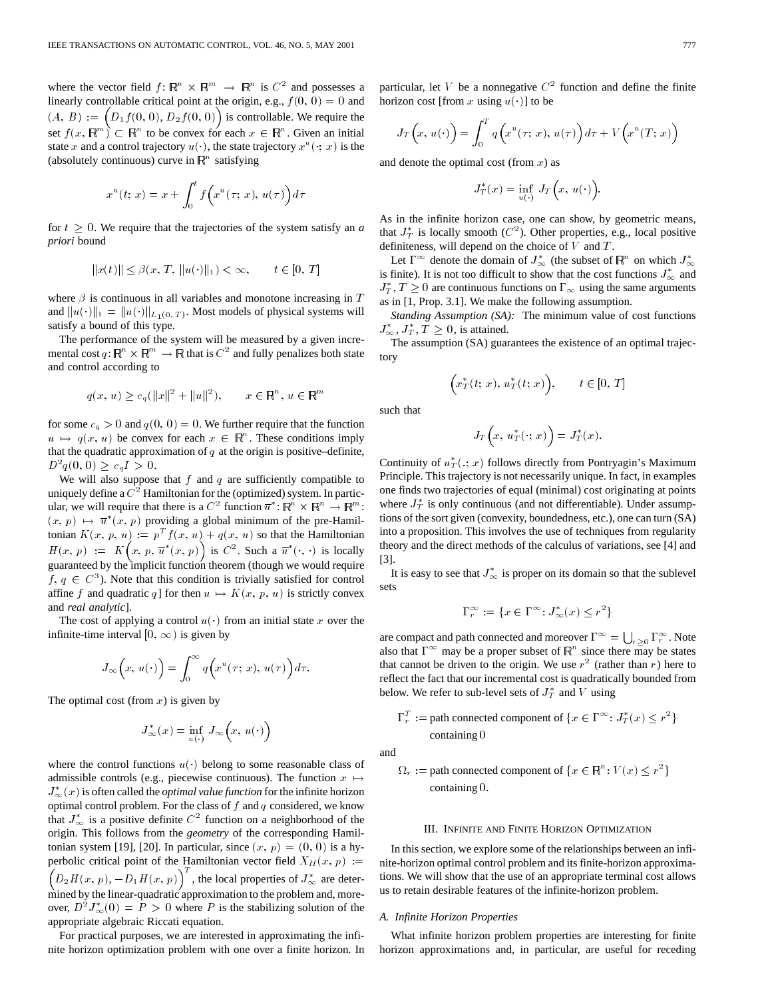where the vector field  $f: \mathbb{R}^n \times \mathbb{R}^m \to \mathbb{R}^n$  is  $C^2$  and possesses a linearly controllable critical point at the origin, e.g.,  $f(0, 0) = 0$  and  $(A, B) := \left(D_1f(0, 0), D_2f(0, 0)\right)$  is controllable. We require the set  $f(x, \mathbb{R}^m) \subset \mathbb{R}^n$  to be convex for each  $x \in \mathbb{R}^n$ . Given an initial state x and a control trajectory  $u(\cdot)$ , the state trajectory  $x^u(\cdot; x)$  is the (absolutely continuous) curve in  $\mathbb{R}^n$  satisfying

$$
x^{u}(t; x) = x + \int_0^t f\left(x^{u}(\tau; x), u(\tau)\right) d\tau
$$

for  $t \geq 0$ . We require that the trajectories of the system satisfy an *a priori* bound

$$
||x(t)|| \le \beta(x, T, ||u(\cdot)||_1) < \infty, \qquad t \in [0, T]
$$

where  $\beta$  is continuous in all variables and monotone increasing in  $T$ and  $||u(\cdot)||_1 = ||u(\cdot)||_{L_1(0,T)}$ . Most models of physical systems will satisfy a bound of this type.

The performance of the system will be measured by a given incremental cost  $q: \mathbb{R}^n \times \mathbb{R}^m \to \mathbb{R}$  that is  $C^2$  and fully penalizes both state and control according to

$$
q(x, u) \ge c_q(||x||^2 + ||u||^2), \qquad x \in \mathbb{R}^n, u \in \mathbb{R}^m
$$

for some  $c_q > 0$  and  $q(0, 0) = 0$ . We further require that the function  $u \mapsto q(x, u)$  be convex for each  $x \in \mathbb{R}^n$ . These conditions imply that the quadratic approximation of  $q$  at the origin is positive–definite,  $D^2q(0, 0) \geq c_qI > 0.$ 

We will also suppose that  $f$  and  $q$  are sufficiently compatible to uniquely define a  $C<sup>2</sup>$  Hamiltonian for the (optimized) system. In particular, we will require that there is a  $C^2$  function  $\overline{u}^*$ :  $\overline{\mathbb{R}^n} \times \mathbb{R}^n \to \overline{\mathbb{R}^m}$ :  $(x, p) \mapsto \overline{u}^*(x, p)$  providing a global minimum of the pre-Hamiltonian  $K(x, p, u) := p^T f(x, u) + q(x, u)$  so that the Hamiltonian  $H(x, p) := K\left(x, p, \overline{u}^*(x, p)\right)$  is  $C^2$ . Such a  $\overline{u}^*(\cdot, \cdot)$  is locally guaranteed by the implicit function theorem (though we would require  $f, q \in C<sup>3</sup>$ ). Note that this condition is trivially satisfied for control affine f and quadratic q] for then  $u \mapsto K(x, p, u)$  is strictly convex and *real analytic*].

The cost of applying a control  $u(\cdot)$  from an initial state x over the infinite-time interval  $[0, \infty)$  is given by

$$
J_{\infty}\left(x, u(\cdot)\right) = \int_0^{\infty} q\left(x^u(\tau; x), u(\tau)\right) d\tau.
$$

The optimal cost (from  $x$ ) is given by

$$
J^*_\infty(x)=\inf_{u(\cdot)}\,J_\infty\Big(x,\,u(\cdot)\Big)
$$

where the control functions  $u(\cdot)$  belong to some reasonable class of admissible controls (e.g., piecewise continuous). The function  $x \mapsto$  $J^*_{\infty}(x)$  is often called the *optimal value function* for the infinite horizon optimal control problem. For the class of  $f$  and  $q$  considered, we know that  $J^*_{\infty}$  is a positive definite  $C^2$  function on a neighborhood of the origin. This follows from the *geometry* of the corresponding Hamiltonian system [19], [20]. In particular, since  $(x, p) = (0, 0)$  is a hyperbolic critical point of the Hamiltonian vector field  $X_H(x, p) :=$  $D_2H(x, p)$ ,  $-D_1H(x, p)\big)^T$ , the local properties of  $J^*_{\infty}$  are determined by the linear-quadratic approximation to the problem and, moreover,  $D^2 J^*_{\infty}(0) = P > 0$  where P is the stabilizing solution of the appropriate algebraic Riccati equation.

For practical purposes, we are interested in approximating the infinite horizon optimization problem with one over a finite horizon. In particular, let V be a nonnegative  $C<sup>2</sup>$  function and define the finite horizon cost [from x using  $u(\cdot)$ ] to be

$$
J_T(x, u(\cdot)) = \int_0^T q\Big(x^u(\tau; x), u(\tau)\Big) d\tau + V\Big(x^u(T; x)\Big)
$$

and denote the optimal cost (from  $x$ ) as

$$
J_T^*(x) = \inf_{u(\cdot)} J_T(x, u(\cdot)).
$$

As in the infinite horizon case, one can show, by geometric means, that  $J_T^*$  is locally smooth ( $C^2$ ). Other properties, e.g., local positive definiteness, will depend on the choice of  $V$  and  $T$ .

Let  $\Gamma^{\infty}$  denote the domain of  $J_{\infty}^{*}$  (the subset of  $\mathbb{R}^{n}$  on which  $J_{\infty}^{*}$ is finite). It is not too difficult to show that the cost functions  $J^*_{\infty}$  and  $J_T^*$ ,  $T \geq 0$  are continuous functions on  $\Gamma_\infty$  using the same arguments as in [1, Prop. 3.1]. We make the following assumption.

*Standing Assumption (SA):* The minimum value of cost functions  $J^*_{\infty}, J^*_{T}, T \geq 0$ , is attained.

The assumption (SA) guarantees the existence of an optimal trajectory

$$
\Big(x_T^*(t;\,x),\,u_T^*(t;\,x)\Big),\qquad t\in[0,\,T]
$$

such that

$$
J_T\Big(x,\,u_T^*\big(\cdot;\,x\big)\Big)=J_T^*(x).
$$

Continuity of  $u_T^*(.; x)$  follows directly from Pontryagin's Maximum Principle. This trajectory is not necessarily unique. In fact, in examples one finds two trajectories of equal (minimal) cost originating at points where  $J_T^*$  is only continuous (and not differentiable). Under assumptions of the sort given (convexity, boundedness, etc.), one can turn (SA) into a proposition. This involves the use of techniques from regularity theory and the direct methods of the calculus of variations, see [4] and [3].

It is easy to see that  $J^*_{\infty}$  is proper on its domain so that the sublevel sets

$$
\Gamma_r^{\infty} := \{ x \in \Gamma^{\infty} : J^*_{\infty}(x) \le r^2 \}
$$

are compact and path connected and moreover  $\Gamma^{\infty} = \bigcup_{r>0} \Gamma_r^{\infty}$ . Note also that  $\Gamma^{\infty}$  may be a proper subset of  $\mathbb{R}^{n}$  since there may be states that cannot be driven to the origin. We use  $r^2$  (rather than r) here to reflect the fact that our incremental cost is quadratically bounded from below. We refer to sub-level sets of  $J_T^*$  and V using

$$
\Gamma_r^T := \text{path connected component of } \{x \in \Gamma^\infty \colon J_T^*(x) \le r^2\}
$$
  
containing 0

and

$$
\Omega_r := \text{path connected component of } \{x \in \mathbb{R}^n : V(x) \le r^2\}
$$
  
containing 0.

## III. INFINITE AND FINITE HORIZON OPTIMIZATION

In this section, we explore some of the relationships between an infinite-horizon optimal control problem and its finite-horizon approximations. We will show that the use of an appropriate terminal cost allows us to retain desirable features of the infinite-horizon problem.

# *A. Infinite Horizon Properties*

What infinite horizon problem properties are interesting for finite horizon approximations and, in particular, are useful for receding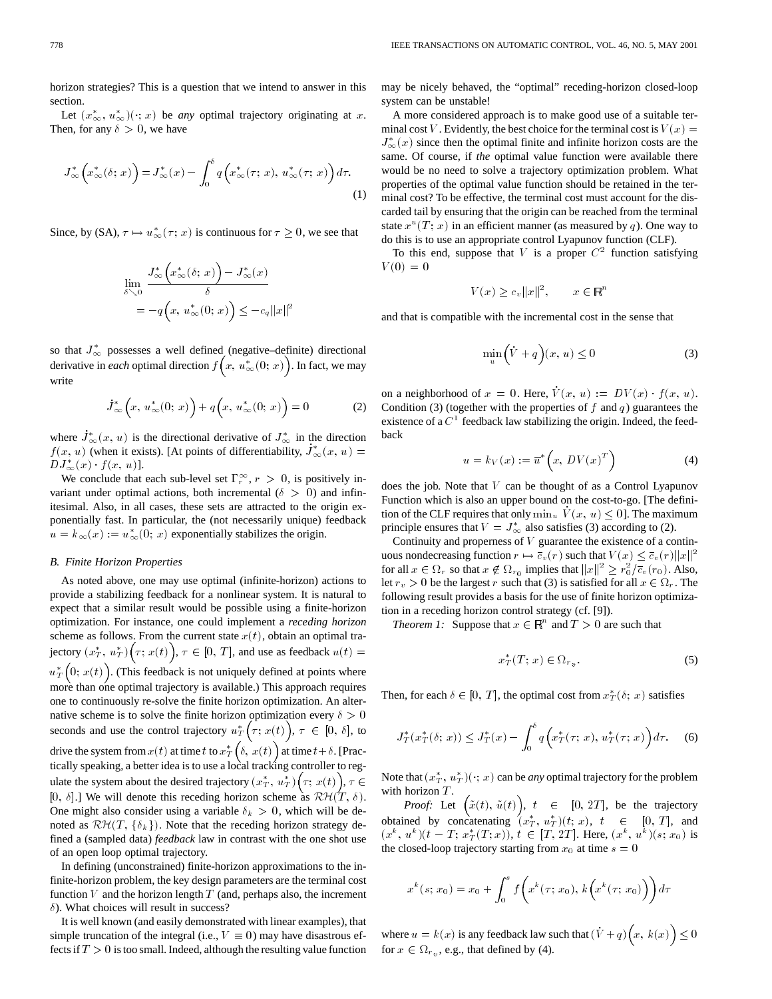horizon strategies? This is a question that we intend to answer in this section.

Let  $(x^*_{\infty}, u^*_{\infty})(\cdot; x)$  be *any* optimal trajectory originating at *x*. Then, for any  $\delta > 0$ , we have

$$
J_{\infty}^*\left(x_{\infty}^*(\delta; x)\right) = J_{\infty}^*(x) - \int_0^{\delta} q\left(x_{\infty}^*(\tau; x), u_{\infty}^*(\tau; x)\right) d\tau.
$$
\n(1)

Since, by (SA),  $\tau \mapsto u_{\infty}^*(\tau; x)$  is continuous for  $\tau \geq 0$ , we see that

$$
\lim_{\delta \searrow 0} \frac{J^*_{\infty}\Big(x^*_{\infty}(\delta; x)\Big) - J^*_{\infty}(x)}{\delta}
$$
  
=  $-q\Big(x, u^*_{\infty}(0; x)\Big) \le -c_q ||x||^2$ 

so that  $J^*_{\infty}$  possesses a well defined (negative–definite) directional derivative in *each* optimal direction  $f(x, u^*_{\infty}(0; x))$ . In fact, we may write

$$
\dot{J}_{\infty}^* \bigg( x, u_{\infty}^*(0; x) \bigg) + q \bigg( x, u_{\infty}^*(0; x) \bigg) = 0 \tag{2}
$$

where  $J^*_{\infty}(x, u)$  is the directional derivative of  $J^*_{\infty}$  in the direction  $f(x, u)$  (when it exists). [At points of differentiability,  $J^*_{\infty}(x, u) =$  $DJ^*_{\infty}(x) \cdot f(x, u)].$ 

We conclude that each sub-level set  $\Gamma_r^{\infty}$ ,  $r > 0$ , is positively invariant under optimal actions, both incremental ( $\delta > 0$ ) and infinitesimal. Also, in all cases, these sets are attracted to the origin exponentially fast. In particular, the (not necessarily unique) feedback  $u = k_{\infty}(x) := u_{\infty}^{*}(0; x)$  exponentially stabilizes the origin.

# *B. Finite Horizon Properties*

As noted above, one may use optimal (infinite-horizon) actions to provide a stabilizing feedback for a nonlinear system. It is natural to expect that a similar result would be possible using a finite-horizon optimization. For instance, one could implement a *receding horizon* scheme as follows. From the current state  $x(t)$ , obtain an optimal trajectory  $(x_T^*, u_T^*)\big(\tau; x(t)\big), \tau \in [0, T]$ , and use as feedback  $u(t) =$  $u_T^*\left(0;\,x(t)\right)$ . (This feedback is not uniquely defined at points where more than one optimal trajectory is available.) This approach requires one to continuously re-solve the finite horizon optimization. An alternative scheme is to solve the finite horizon optimization every  $\delta > 0$ seconds and use the control trajectory  $u^*_{T}(\tau; x(t))$ ,  $\tau \in [0, \delta]$ , to drive the system from  $x(t)$  at time t to  $x^*_T\left(\delta,\ x(t)\right)$  at time  $t+\delta$ . [Practically speaking, a better idea is to use a local tracking controller to regulate the system about the desired trajectory  $(x_T^*, u_T^*) (\tau; x(t)), \tau \in$ [0,  $\delta$ ].] We will denote this receding horizon scheme as  $\mathcal{RH}(T, \delta)$ . One might also consider using a variable  $\delta_k > 0$ , which will be denoted as  $\mathcal{RH}(T, \{\delta_k\})$ . Note that the receding horizon strategy defined a (sampled data) *feedback* law in contrast with the one shot use of an open loop optimal trajectory.

In defining (unconstrained) finite-horizon approximations to the infinite-horizon problem, the key design parameters are the terminal cost function  $V$  and the horizon length  $T$  (and, perhaps also, the increment  $\delta$ ). What choices will result in success?

It is well known (and easily demonstrated with linear examples), that simple truncation of the integral (i.e.,  $V \equiv 0$ ) may have disastrous effects if  $T > 0$  is too small. Indeed, although the resulting value function may be nicely behaved, the "optimal" receding-horizon closed-loop system can be unstable!

A more considered approach is to make good use of a suitable terminal cost V. Evidently, the best choice for the terminal cost is  $V(x) =$  $J^*_{\infty}(x)$  since then the optimal finite and infinite horizon costs are the same. Of course, if *the* optimal value function were available there would be no need to solve a trajectory optimization problem. What properties of the optimal value function should be retained in the terminal cost? To be effective, the terminal cost must account for the discarded tail by ensuring that the origin can be reached from the terminal state  $x^u(T; x)$  in an efficient manner (as measured by q). One way to do this is to use an appropriate control Lyapunov function (CLF).

To this end, suppose that V is a proper  $C<sup>2</sup>$  function satisfying  $V(0) = 0$ 

$$
V(x) \ge c_v ||x||^2, \qquad x \in \mathbb{R}^n
$$

and that is compatible with the incremental cost in the sense that

$$
\min_{u} \left(\dot{V} + q\right)(x, u) \le 0 \tag{3}
$$

on a neighborhood of  $x = 0$ . Here,  $V(x, u) := DV(x) \cdot f(x, u)$ . Condition (3) (together with the properties of  $f$  and  $q$ ) guarantees the existence of a  $C<sup>1</sup>$  feedback law stabilizing the origin. Indeed, the feedback

$$
u = k_V(x) := \overline{u}^* \left( x, \, DV(x)^T \right) \tag{4}
$$

does the job. Note that  $V$  can be thought of as a Control Lyapunov Function which is also an upper bound on the cost-to-go. [The definition of the CLF requires that only  $\min_u V(x, u) \leq 0$ . The maximum principle ensures that  $V = J^*_{\infty}$  also satisfies (3) according to (2).

Continuity and properness of  $V$  guarantee the existence of a continuous nondecreasing function  $r \mapsto \overline{c}_v(r)$  such that  $V(x) \leq \overline{c}_v(r) ||x||^2$ for all  $x \in \Omega_r$  so that  $x \notin \Omega_{r_0}$  implies that  $||x||^2 \geq r_0^2/\overline{c}_v(r_0)$ . Also, let  $r_v > 0$  be the largest r such that (3) is satisfied for all  $x \in \Omega_r$ . The following result provides a basis for the use of finite horizon optimization in a receding horizon control strategy (cf. [9]).

*Theorem 1:* Suppose that  $x \in \mathbb{R}^n$  and  $T > 0$  are such that

$$
x_T^*(T; x) \in \Omega_{r_v}.\tag{5}
$$

Then, for each  $\delta \in [0, T]$ , the optimal cost from  $x^*_{T}(\delta; x)$  satisfies

$$
J_T^*(x_T^*(\delta; x)) \le J_T^*(x) - \int_0^{\delta} q\Big(x_T^*(\tau; x), u_T^*(\tau; x)\Big) d\tau. \tag{6}
$$

Note that  $(x_T^*, u_T^*)(\cdot; x)$  can be *any* optimal trajectory for the problem with horizon  $T$ .

*Proof:* Let  $(\tilde{x}(t), \tilde{u}(t))$ ,  $t \in [0, 2T]$ , be the trajectory obtained by concatenating  $(x_T^*, u_T^*)(t; x)$ ,  $t \in [0, T]$ , and  $(x^{k}, u^{k})(t - T; x_{T}^{*}(T; x)), t \in [T, 2T]$ . Here,  $(x^{k}, u^{k})(s; x_{0})$  is the closed-loop trajectory starting from  $x_0$  at time  $s = 0$ 

$$
x^{k}(s; x_{0}) = x_{0} + \int_{0}^{s} f(x^{k}(\tau; x_{0}), k(x^{k}(\tau; x_{0})) dx
$$

where  $u = k(x)$  is any feedback law such that  $(V + q) (x, k(x)) \leq 0$ for  $x \in \Omega_{r_v}$ , e.g., that defined by (4).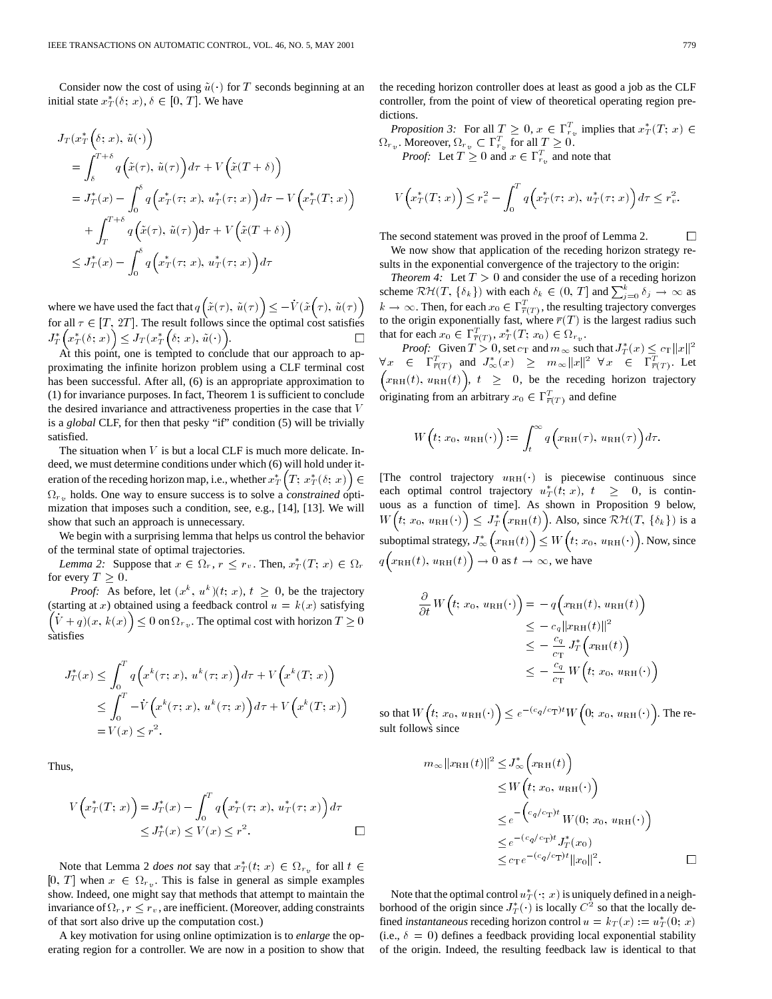Consider now the cost of using  $\tilde{u}(\cdot)$  for T seconds beginning at an initial state  $x_T^*(\delta; x)$ ,  $\delta \in [0, T]$ . We have

$$
J_T(x_T^*(\delta; x), \tilde{u}(\cdot))
$$
  
=  $\int_{\delta}^{T+\delta} q(\tilde{x}(\tau), \tilde{u}(\tau)) d\tau + V(\tilde{x}(T+\delta))$   
=  $J_T^*(x) - \int_0^{\delta} q(x_T^*(\tau; x), u_T^*(\tau; x)) d\tau - V(x_T^*(T; x))$   
+  $\int_T^{T+\delta} q(\tilde{x}(\tau), \tilde{u}(\tau)) d\tau + V(\tilde{x}(T+\delta))$   
 $\leq J_T^*(x) - \int_0^{\delta} q(x_T^*(\tau; x), u_T^*(\tau; x)) d\tau$ 

where we have used the fact that  $q(\tilde{x}(\tau), \tilde{u}(\tau)) \leq -V(\tilde{x} (\tau), \tilde{u}(\tau))$ for all  $\tau \in [T, 2T]$ . The result follows since the optimal cost satisfies  $J_T^*\Big(x_T^*(\delta; x)\Big) \leq J_T(x_T^*\Big(\delta; \, x), \, \tilde{u}(\cdot)\Big).$  $\Box$ 

At this point, one is tempted to conclude that our approach to approximating the infinite horizon problem using a CLF terminal cost has been successful. After all, (6) is an appropriate approximation to (1) for invariance purposes. In fact, Theorem 1 is sufficient to conclude the desired invariance and attractiveness properties in the case that V is a *global* CLF, for then that pesky "if" condition (5) will be trivially satisfied.

The situation when  $V$  is but a local CLF is much more delicate. Indeed, we must determine conditions under which (6) will hold under iteration of the receding horizon map, i.e., whether  $x^*_T\Bigl(T;\, x^*_T(\delta;\, x)\Bigr)\in$  $\Omega_{r_v}$  holds. One way to ensure success is to solve a *constrained* optimization that imposes such a condition, see, e.g., [14], [13]. We will show that such an approach is unnecessary.

We begin with a surprising lemma that helps us control the behavior of the terminal state of optimal trajectories.

*Lemma 2:* Suppose that  $x \in \Omega_r$ ,  $r \leq r_v$ . Then,  $x^*_T(T; x) \in \Omega_r$ for every  $T \geq 0$ .

*Proof:* As before, let  $(x^k, u^k)(t; x)$ ,  $t \geq 0$ , be the trajectory (starting at x) obtained using a feedback control  $u = k(x)$  satisfying  $(\dot{V} + q)(x, k(x)) \leq 0$  on  $\Omega_{r_v}$ . The optimal cost with horizon  $T \geq 0$ satisfies

$$
J_T^*(x) \le \int_0^T q\Big(x^k(\tau; x), u^k(\tau; x)\Big) d\tau + V\Big(x^k(T; x)\Big)
$$
  
\n
$$
\le \int_0^T -\dot{V}\Big(x^k(\tau; x), u^k(\tau; x)\Big) d\tau + V\Big(x^k(T; x)\Big)
$$
  
\n
$$
= V(x) \le r^2.
$$

Thus,

$$
V\left(x_T^*(T; x)\right) = J_T^*(x) - \int_0^T q\left(x_T^*(\tau; x), u_T^*(\tau; x)\right) d\tau
$$
  
 
$$
\leq J_T^*(x) \leq V(x) \leq r^2.
$$

Note that Lemma 2 *does not* say that  $x^*_{T}(t; x) \in \Omega_{r_v}$  for all  $t \in$  $[0, T]$  when  $x \in \Omega_{r_v}$ . This is false in general as simple examples show. Indeed, one might say that methods that attempt to maintain the invariance of  $\Omega_r$ ,  $r \leq r_v$ , are inefficient. (Moreover, adding constraints of that sort also drive up the computation cost.)

A key motivation for using online optimization is to *enlarge* the operating region for a controller. We are now in a position to show that the receding horizon controller does at least as good a job as the CLF controller, from the point of view of theoretical operating region predictions.

*Proposition 3:* For all  $T \geq 0$ ,  $x \in \Gamma_{r_v}^T$  implies that  $x_T^*(T; x) \in$  $\Omega_{r_v}$ . Moreover,  $\Omega_{r_v} \subset \Gamma_{r_v}^T$  for all  $T \geq 0$ .

*Proof:* Let  $T \geq 0$  and  $x \in \Gamma_{r_v}^T$  and note that

$$
V\left(x_T^*(T; x)\right) \le r_v^2 - \int_0^T q\left(x_T^*(\tau; x), u_T^*(\tau; x)\right) d\tau \le r_v^2.
$$

The second statement was proved in the proof of Lemma 2.  $\Box$ We now show that application of the receding horizon strategy results in the exponential convergence of the trajectory to the origin:

*Theorem 4:* Let  $T > 0$  and consider the use of a receding horizon scheme  $\mathcal{RH}(T, \{\delta_k\})$  with each  $\delta_k \in (0, T]$  and  $\sum_{j=0}^k \delta_j \to \infty$  as  $k \to \infty$ . Then, for each  $x_0 \in \Gamma^T_{\overline{r}(T)}$ , the resulting trajectory converges to the origin exponentially fast, where  $\overline{r}(T)$  is the largest radius such that for each  $x_0 \in \Gamma^T_{\overline{r}(T)}, x^*_{T}(T; x_0) \in \Omega_{r_v}$ .

*Proof:* Given  $T > 0$ , set  $c_T$  and  $m_\infty$  such that  $J_T^*(x) \leq c_T ||x||^2$  $\forall x \in \Gamma^T_{\overline{r}(T)} \text{ and } J^*_{\infty}(x) \geq m_{\infty} ||x||^2 \ \forall x \in \Gamma^T_{\overline{r}(T)}$ . Let  $\left(x_{\text{RH}}(t), u_{\text{RH}}(t)\right), t \geq 0$ , be the receding horizon trajectory originating from an arbitrary  $x_0 \in \Gamma^T_{\overline{r}(T)}$  and define

$$
W(t; x_0, u_{\text{RH}}(\cdot)) := \int_t^\infty q\Big(x_{\text{RH}}(\tau), u_{\text{RH}}(\tau)\Big) d\tau.
$$

[The control trajectory  $u_{\text{RH}}(\cdot)$  is piecewise continuous since each optimal control trajectory  $u^*_T(t; x)$ ,  $t \geq 0$ , is continuous as a function of time]. As shown in Proposition 9 below,  $W(t; x_0, u_{\text{RH}}(\cdot)) \leq J_T^*\left(x_{\text{RH}}(t)\right)$ . Also, since  $\mathcal{RH}(T, \{\delta_k\})$  is a suboptimal strategy,  $J^*_{\infty}\left(x_{\rm RH}(t)\right) \leq W\big(t; x_0, u_{\rm RH}(\cdot)\big)$ . Now, since  $q\left(x_{\text{RH}}(t), u_{\text{RH}}(t)\right) \to 0$  as  $t \to \infty$ , we have

$$
\frac{\partial}{\partial t} W(t; x_0, u_{\text{RH}}(\cdot)) = -q(x_{\text{RH}}(t), u_{\text{RH}}(t))
$$
\n
$$
\leq -c_q ||x_{\text{RH}}(t)||^2
$$
\n
$$
\leq -\frac{c_q}{c_{\text{T}}} J_T^* (x_{\text{RH}}(t))
$$
\n
$$
\leq -\frac{c_q}{c_{\text{T}}} W(t; x_0, u_{\text{RH}}(\cdot))
$$

so that  $W(t; x_0, u_{\text{RH}}(\cdot)) \leq e^{-(c_{\bm{q}}/c_{\text{T}})t} W(0; x_0, u_{\text{RH}}(\cdot)).$  The result follows since

$$
m_{\infty} ||x_{\rm RH}(t)||^2 \leq J_{\infty}^* \left( x_{\rm RH}(t) \right)
$$
  
\n
$$
\leq W \left( t; x_0, u_{\rm RH}(\cdot) \right)
$$
  
\n
$$
\leq e^{-\left( c_q/c_{\rm T} \right) t} W(0; x_0, u_{\rm RH}(\cdot) \right)
$$
  
\n
$$
\leq e^{-(c_q/c_{\rm T})t} J_T^*(x_0)
$$
  
\n
$$
\leq c_{\rm T} e^{-(c_q/c_{\rm T})t} ||x_0||^2.
$$

Note that the optimal control  $u_T^*(\cdot; x)$  is uniquely defined in a neighborhood of the origin since  $J_T^*(\cdot)$  is locally  $C^2$  so that the locally defined *instantaneous* receding horizon control  $u = k_T(x) := u_T^*(0; x)$ (i.e.,  $\delta = 0$ ) defines a feedback providing local exponential stability of the origin. Indeed, the resulting feedback law is identical to that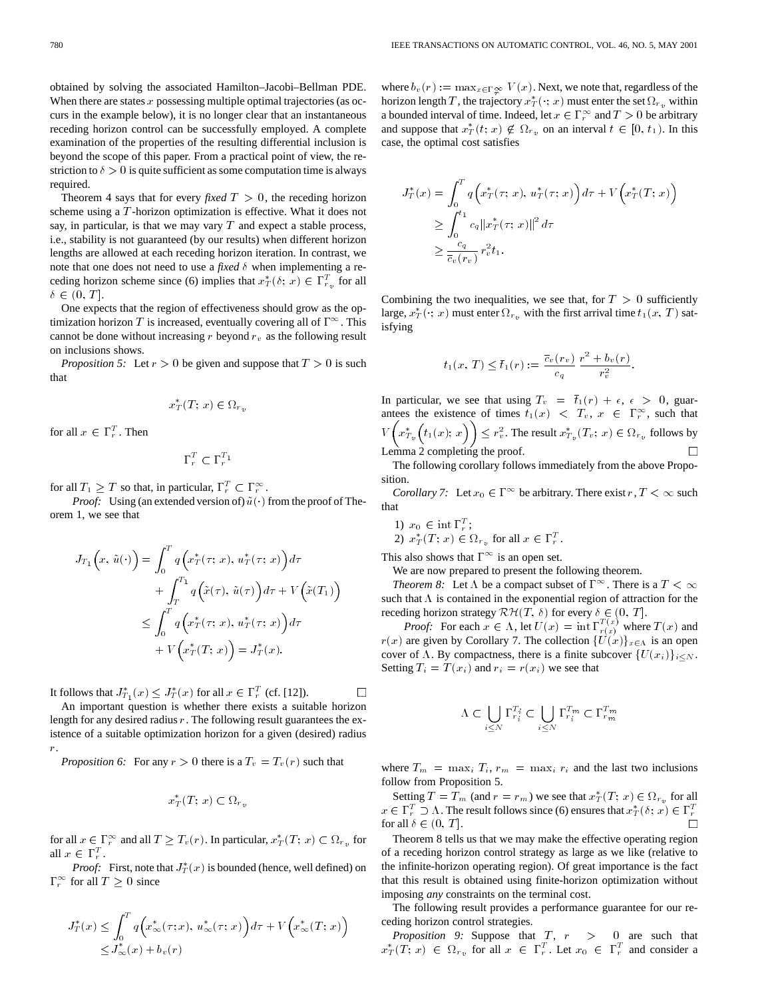obtained by solving the associated Hamilton–Jacobi–Bellman PDE. When there are states  $x$  possessing multiple optimal trajectories (as occurs in the example below), it is no longer clear that an instantaneous receding horizon control can be successfully employed. A complete examination of the properties of the resulting differential inclusion is beyond the scope of this paper. From a practical point of view, the restriction to  $\delta > 0$  is quite sufficient as some computation time is always required.

Theorem 4 says that for every *fixed*  $T > 0$ , the receding horizon scheme using a T -horizon optimization is effective. What it does not say, in particular, is that we may vary  $T$  and expect a stable process, i.e., stability is not guaranteed (by our results) when different horizon lengths are allowed at each receding horizon iteration. In contrast, we note that one does not need to use a *fixed*  $\delta$  when implementing a receding horizon scheme since (6) implies that  $x^*_T(\delta; x) \in \Gamma^T_{r_v}$  for all  $\delta \in (0, T].$ 

One expects that the region of effectiveness should grow as the optimization horizon T is increased, eventually covering all of  $\Gamma^{\infty}$ . This cannot be done without increasing r beyond  $r_v$  as the following result on inclusions shows.

*Proposition 5:* Let  $r > 0$  be given and suppose that  $T > 0$  is such that

$$
x_T^*(T; x) \in \Omega_{r_v}
$$

for all  $x \in \Gamma_r^T$ . Then

$$
\Gamma_r^T \subset \Gamma_r^{T_1}
$$

for all  $T_1 \geq T$  so that, in particular,  $\Gamma_r^T \subset \Gamma_r^{\infty}$ .

*Proof:* Using (an extended version of)  $\tilde{u}(\cdot)$  from the proof of Theorem 1, we see that

$$
J_{T_1}\left(x, \tilde{u}(\cdot)\right) = \int_0^T q\left(x_T^*(\tau; x), u_T^*(\tau; x)\right) d\tau
$$
  
+ 
$$
\int_T^{T_1} q\left(\tilde{x}(\tau), \tilde{u}(\tau)\right) d\tau + V\left(\tilde{x}(T_1)\right)
$$
  

$$
\leq \int_0^T q\left(x_T^*(\tau; x), u_T^*(\tau; x)\right) d\tau
$$
  
+ 
$$
V\left(x_T^*(T; x)\right) = J_T^*(x).
$$

It follows that  $J_{T_1}^*(x) \leq J_T^*(x)$  for all  $x \in \Gamma_r^T$  (cf. [12]).

An important question is whether there exists a suitable horizon length for any desired radius  $r$ . The following result guarantees the existence of a suitable optimization horizon for a given (desired) radius r.

*Proposition 6:* For any  $r > 0$  there is a  $T_v = T_v(r)$  such that

$$
x_T^*(T; x) \subset \Omega_{r_v}
$$

for all  $x \in \Gamma_r^{\infty}$  and all  $T \geq T_v(r)$ . In particular,  $x^*_T(T; x) \subset \Omega_{r_v}$  for all  $x \in \Gamma_r^T$ .

*Proof:* First, note that  $J_T^*(x)$  is bounded (hence, well defined) on  $\Gamma_r^{\infty}$  for all  $T \geq 0$  since

$$
J_T^*(x) \le \int_0^T q\Big(x^*_{\infty}(\tau; x), u^*_{\infty}(\tau; x)\Big) d\tau + V\Big(x^*_{\infty}(T; x)\Big)
$$
  

$$
\le J_{\infty}^*(x) + b_v(r)
$$

where  $b_v(r) := \max_{x \in \Gamma} V(x)$ . Next, we note that, regardless of the horizon length  $T$ , the trajectory  $x_T^*(\cdot; x)$  must enter the set  $\Omega_{r_v}$  within a bounded interval of time. Indeed, let  $x \in \Gamma_r^{\infty}$  and  $T > 0$  be arbitrary and suppose that  $x_T^*(t; x) \notin \Omega_{r_v}$  on an interval  $t \in [0, t_1)$ . In this case, the optimal cost satisfies

$$
J_T^*(x) = \int_0^T q\Big(x_T^*(\tau; x), u_T^*(\tau; x)\Big) d\tau + V\Big(x_T^*(T; x)\Big)
$$
  
\n
$$
\geq \int_0^{t_1} c_q \|x_T^*(\tau; x)\|^2 d\tau
$$
  
\n
$$
\geq \frac{c_q}{\overline{c}_v(r_v)} r_v^2 t_1.
$$

Combining the two inequalities, we see that, for  $T > 0$  sufficiently large,  $x_T^*(\cdot; x)$  must enter  $\Omega_{r_v}$  with the first arrival time  $t_1(x, T)$  satisfying

$$
t_1(x, T) \leq \overline{t}_1(r) := \frac{\overline{c}_v(r_v)}{c_q} \frac{r^2 + b_v(r)}{r_v^2}.
$$

In particular, we see that using  $T_v = \bar{t}_1(r) + \epsilon, \epsilon > 0$ , guarantees the existence of times  $t_1(x) < T_v$ ,  $x \in \Gamma_r^{\infty}$ , such that  $V([x_{T_v}^*(t_1(x); x]) \leq r_v^2$ . The result  $x_{T_v}^*(T_v; x) \in \Omega_{r_v}$  follows by Lemma 2 completing the proof.  $\Box$ 

The following corollary follows immediately from the above Proposition.

*Corollary 7:* Let  $x_0 \in \Gamma^\infty$  be arbitrary. There exist  $r, T < \infty$  such that

1) 
$$
x_0 \in \text{int } \Gamma_r^T
$$
;  
2)  $x_T^*(T; x) \in \Omega_{r_v}$  for all  $x \in \Gamma_r^T$ .

This also shows that  $\Gamma^{\infty}$  is an open set.

We are now prepared to present the following theorem.

*Theorem 8:* Let  $\Lambda$  be a compact subset of  $\Gamma^{\infty}$ . There is a  $T < \infty$ such that  $\Lambda$  is contained in the exponential region of attraction for the receding horizon strategy  $\mathcal{RH}(T, \delta)$  for every  $\delta \in (0, T]$ .

*Proof:* For each  $x \in \Lambda$ , let  $U(x) = \inf \Gamma_{r(x)}^{T(x)}$  where  $T(x)$  and  $r(x)$  are given by Corollary 7. The collection  $\{U(x)\}_{x\in\Lambda}$  is an open cover of  $\Lambda$ . By compactness, there is a finite subcover  $\{U(x_i)\}_{i\leq N}$ . Setting  $T_i = T(x_i)$  and  $r_i = r(x_i)$  we see that

$$
\Lambda \subset \bigcup_{i\leq N} \Gamma^{T_i}_{r_i}\subset \bigcup_{i\leq N} \Gamma^{T_m}_{r_i}\subset \Gamma^{T_m}_{r_m}
$$

where  $T_m = \max_i T_i$ ,  $r_m = \max_i r_i$  and the last two inclusions follow from Proposition 5.

Setting  $T = T_m$  (and  $r = r_m$ ) we see that  $x^*_{T}(T; x) \in \Omega_{r_v}$  for all  $x \in \Gamma_r^T \supset \Lambda$ . The result follows since (6) ensures that  $x^*_T(\delta; x) \in \Gamma_r^T$ for all  $\delta \in (0, T]$ .

Theorem 8 tells us that we may make the effective operating region of a receding horizon control strategy as large as we like (relative to the infinite-horizon operating region). Of great importance is the fact that this result is obtained using finite-horizon optimization without imposing *any* constraints on the terminal cost.

The following result provides a performance guarantee for our receding horizon control strategies.

*Proposition 9:* Suppose that  $T$ ,  $r$   $>$  0 are such that  $x^*_T(T; x) \in \Omega_{r_v}$  for all  $x \in \Gamma_r^T$ . Let  $x_0 \in \Gamma_r^T$  and consider a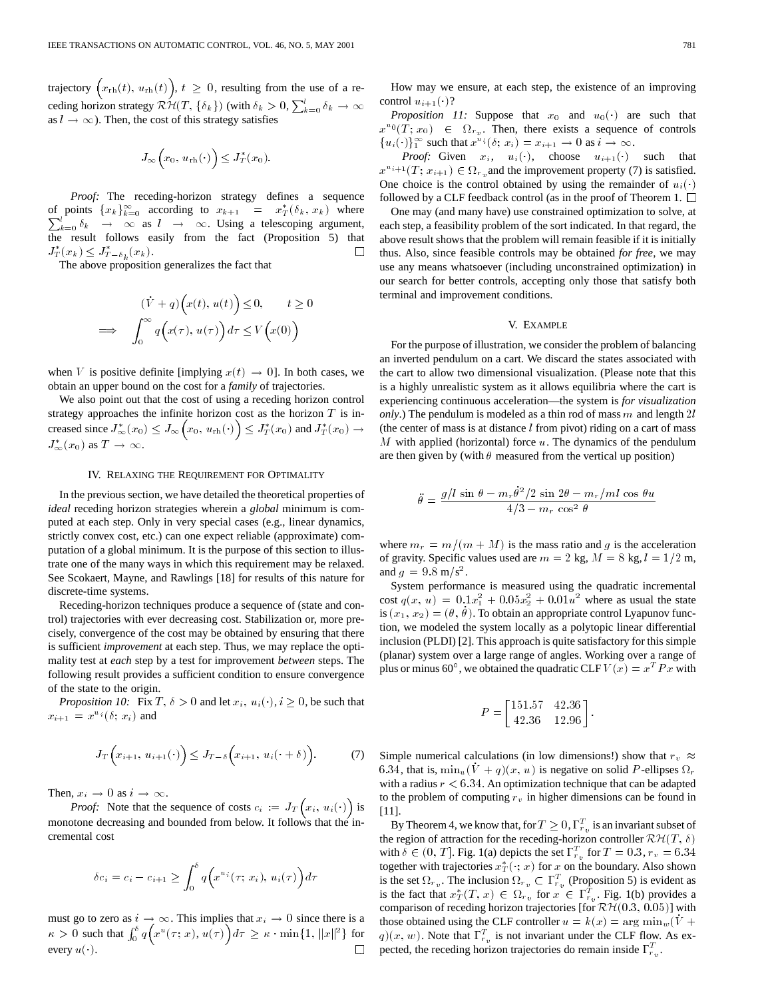trajectory  $(x_{\text{rh}}(t), u_{\text{rh}}(t))$ ,  $t \geq 0$ , resulting from the use of a receding horizon strategy  $\mathcal{R}\mathcal{H}(T, \{\delta_k\})$  (with  $\delta_k > 0$ ,  $\sum_{k=0}^l \delta_k \to \infty$ as  $l \rightarrow \infty$ ). Then, the cost of this strategy satisfies

$$
J_{\infty}\Big(x_0, u_{\rm rh}(\cdot)\Big) \le J_T^*(x_0).
$$

*Proof:* The receding-horizon strategy defines a sequence of points  ${x_k}_{k=0}^{\infty}$  according to  $x_{k+1} = x_T^*(\delta_k, x_k)$  where  $\sum_{k=0}^{l} \delta_k \rightarrow \infty$  as  $l \rightarrow \infty$ . Using a telescoping argument, the result follows easily from the fact (Proposition 5) that  $J_T^*(x_k) \leq J_{T-\delta_k}^*(x_k)$ .  $\Box$ 

The above proposition generalizes the fact that

$$
(\dot{V} + q) \Big( x(t), u(t) \Big) \le 0, \qquad t \ge 0
$$
  

$$
\implies \int_0^\infty q \Big( x(\tau), u(\tau) \Big) d\tau \le V \Big( x(0) \Big)
$$

when V is positive definite [implying  $x(t) \rightarrow 0$ ]. In both cases, we obtain an upper bound on the cost for a *family* of trajectories.

We also point out that the cost of using a receding horizon control strategy approaches the infinite horizon cost as the horizon  $T$  is increased since  $J^*_{\infty}(x_0) \leq J_{\infty}(x_0, u_{\text{rh}}(\cdot)) \leq J^*_{T}(x_0)$  and  $J^*_{T}(x_0) \to$  $J^*_{\infty}(x_0)$  as  $T \to \infty$ .

#### IV. RELAXING THE REQUIREMENT FOR OPTIMALITY

In the previous section, we have detailed the theoretical properties of *ideal* receding horizon strategies wherein a *global* minimum is computed at each step. Only in very special cases (e.g., linear dynamics, strictly convex cost, etc.) can one expect reliable (approximate) computation of a global minimum. It is the purpose of this section to illustrate one of the many ways in which this requirement may be relaxed. See Scokaert, Mayne, and Rawlings [18] for results of this nature for discrete-time systems.

Receding-horizon techniques produce a sequence of (state and control) trajectories with ever decreasing cost. Stabilization or, more precisely, convergence of the cost may be obtained by ensuring that there is sufficient *improvement* at each step. Thus, we may replace the optimality test at *each* step by a test for improvement *between* steps. The following result provides a sufficient condition to ensure convergence of the state to the origin.

*Proposition 10:* Fix  $T, \delta > 0$  and let  $x_i, u_i(\cdot), i \geq 0$ , be such that  $x_{i+1} = x^{u_i}(\delta; x_i)$  and

$$
J_T\left(x_{i+1}, u_{i+1}(\cdot)\right) \leq J_{T-\delta}\left(x_{i+1}, u_i(\cdot+\delta)\right). \tag{7}
$$

Then,  $x_i \rightarrow 0$  as  $i \rightarrow \infty$ .

*Proof:* Note that the sequence of costs  $c_i := J_T(x_i, u_i(\cdot))$  is monotone decreasing and bounded from below. It follows that the incremental cost

$$
\delta c_i = c_i - c_{i+1} \ge \int_0^\delta q\Big(x^{u_i}(\tau; x_i), u_i(\tau)\Big) d\tau
$$

must go to zero as  $i \to \infty$ . This implies that  $x_i \to 0$  since there is a  $\kappa > 0$  such that  $\int_0^{\delta} q(x^u(\tau; x), u(\tau)) d\tau \geq \kappa \cdot \min\{1, ||x||^2\}$  for every  $u(\cdot)$ .

*Proposition 11:* Suppose that  $x_0$  and  $u_0(\cdot)$  are such that  $x^{u_0}(\hat{T}; x_0) \in \Omega_{r_v}$ . Then, there exists a sequence of controls  ${u_i(\cdot)}_1^{\infty}$  such that  $x^{u_i}(\delta; x_i) = x_{i+1} \to 0$  as  $i \to \infty$ .

*Proof:* Given  $x_i$ ,  $u_i(\cdot)$ , choose  $u_{i+1}(\cdot)$  such that  $x^{u_{i+1}}(T; x_{i+1}) \in \Omega_{r,v}$  and the improvement property (7) is satisfied. One choice is the control obtained by using the remainder of  $u_i(\cdot)$ followed by a CLF feedback control (as in the proof of Theorem 1.  $\Box$ 

One may (and many have) use constrained optimization to solve, at each step, a feasibility problem of the sort indicated. In that regard, the above result shows that the problem will remain feasible if it is initially thus. Also, since feasible controls may be obtained *for free*, we may use any means whatsoever (including unconstrained optimization) in our search for better controls, accepting only those that satisfy both terminal and improvement conditions.

# V. EXAMPLE

For the purpose of illustration, we consider the problem of balancing an inverted pendulum on a cart. We discard the states associated with the cart to allow two dimensional visualization. (Please note that this is a highly unrealistic system as it allows equilibria where the cart is experiencing continuous acceleration—the system is *for visualization only*.) The pendulum is modeled as a thin rod of mass  $m$  and length 2l (the center of mass is at distance  $l$  from pivot) riding on a cart of mass  $M$  with applied (horizontal) force  $u$ . The dynamics of the pendulum are then given by (with  $\theta$  measured from the vertical up position)

$$
\ddot{\theta} = \frac{g/l \sin \theta - m_r \dot{\theta}^2 / 2 \sin 2\theta - m_r / ml \cos \theta u}{4/3 - m_r \cos^2 \theta}
$$

where  $m_r = m/(m + M)$  is the mass ratio and g is the acceleration of gravity. Specific values used are  $m = 2$  kg,  $M = 8$  kg,  $l = 1/2$  m, and  $g = 9.8 \text{ m/s}^2$ .

System performance is measured using the quadratic incremental cost  $q(x, u) = 0.1x_1^2 + 0.05x_2^2 + 0.01u^2$  where as usual the state is  $(x_1, x_2) = (\theta, \dot{\theta})$ . To obtain an appropriate control Lyapunov function, we modeled the system locally as a polytopic linear differential inclusion (PLDI) [2]. This approach is quite satisfactory for this simple (planar) system over a large range of angles. Working over a range of plus or minus 60°, we obtained the quadratic CLF  $V(x) = x^T P x$  with

$$
P = \begin{bmatrix} 151.57 & 42.36 \\ 42.36 & 12.96 \end{bmatrix}.
$$

Simple numerical calculations (in low dimensions!) show that  $r_v \approx$ 6.34, that is,  $\min_u(\dot{V} + q)(x, u)$  is negative on solid P-ellipses  $\Omega_r$ with a radius  $r < 6.34$ . An optimization technique that can be adapted to the problem of computing  $r_v$  in higher dimensions can be found in [11].

By Theorem 4, we know that, for  $T \geq 0$ ,  $\Gamma_{r_n}^T$  is an invariant subset of the region of attraction for the receding-horizon controller  $\mathcal{RH}(T,\delta)$ with  $\delta \in (0, T]$ . Fig. 1(a) depicts the set  $\Gamma_{r_v}^T$  for  $T = 0.3$ ,  $r_v = 6.34$ together with trajectories  $x_T^*(\cdot; x)$  for x on the boundary. Also shown is the set  $\Omega_{r_v}$ . The inclusion  $\Omega_{r_v} \subset \Gamma_{r_v}^T$  (Proposition 5) is evident as is the fact that  $x^*_T(T, x) \in \Omega_{r_v}$  for  $x \in \Gamma_{r_v}^T$ . Fig. 1(b) provides a comparison of receding horizon trajectories [for  $\mathcal{RH}(0.3, 0.05)$ ] with those obtained using the CLF controller  $u = k(x) = \arg \min_w(\dot{V} +$  $q(x, w)$ . Note that  $\Gamma_{r_n}^T$  is not invariant under the CLF flow. As expected, the receding horizon trajectories do remain inside  $\Gamma_{r_n}^T$ .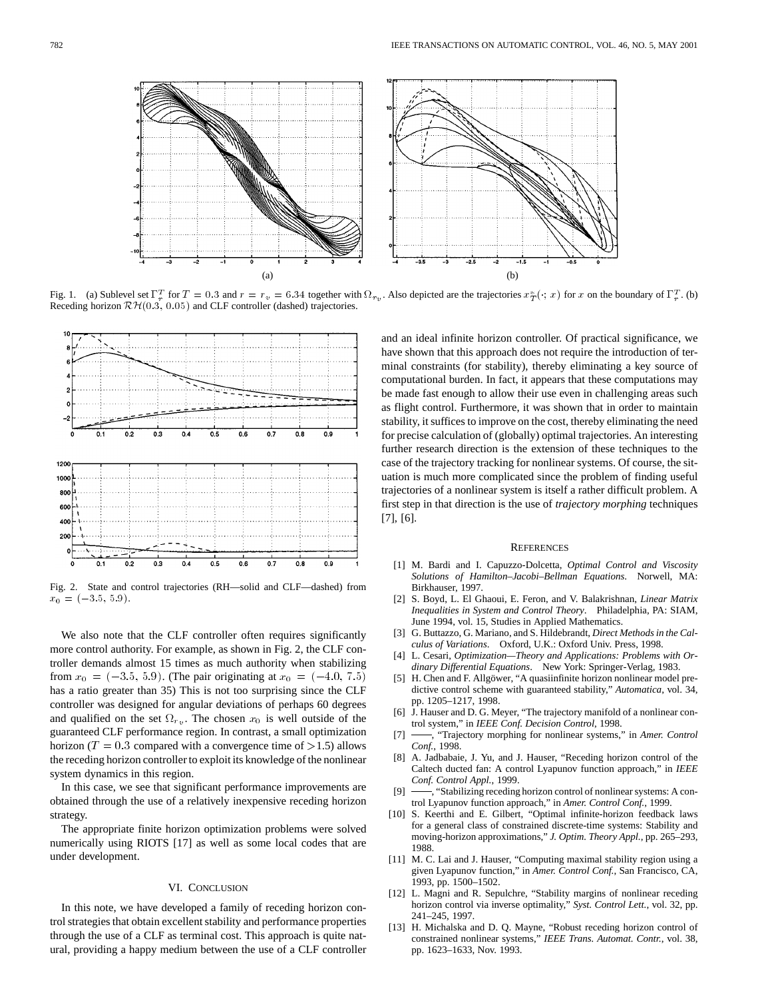



(a) (a) (a) (a) (a) (b) (b)<br>Fig. 1. (a) Sublevel set  $\Gamma_r^T$  for  $T = 0.3$  and  $r = r_v = 6.34$  together with  $\Omega_{r_v}$ . Also depicted are the trajectories  $x^*_{T}(\cdot; x)$  for x on the boundary of  $\Gamma_r^T$ . (b) Receding horizon  $\mathcal{RH}(0.3, 0.05)$  and CLF controller (dashed) trajectories.



Fig. 2. State and control trajectories (RH—solid and CLF—dashed) from  $x_0 = (-3.5, 5.9).$ 

We also note that the CLF controller often requires significantly more control authority. For example, as shown in Fig. 2, the CLF controller demands almost 15 times as much authority when stabilizing from  $x_0 = (-3.5, 5.9)$ . (The pair originating at  $x_0 = (-4.0, 7.5)$ ) has a ratio greater than 35) This is not too surprising since the CLF controller was designed for angular deviations of perhaps 60 degrees and qualified on the set  $\Omega_{r_v}$ . The chosen  $x_0$  is well outside of the guaranteed CLF performance region. In contrast, a small optimization horizon ( $T = 0.3$  compared with a convergence time of  $>1.5$ ) allows the receding horizon controller to exploit its knowledge of the nonlinear system dynamics in this region.

In this case, we see that significant performance improvements are obtained through the use of a relatively inexpensive receding horizon strategy.

The appropriate finite horizon optimization problems were solved numerically using RIOTS [17] as well as some local codes that are under development.

### VI. CONCLUSION

In this note, we have developed a family of receding horizon control strategies that obtain excellent stability and performance properties through the use of a CLF as terminal cost. This approach is quite natural, providing a happy medium between the use of a CLF controller and an ideal infinite horizon controller. Of practical significance, we have shown that this approach does not require the introduction of terminal constraints (for stability), thereby eliminating a key source of computational burden. In fact, it appears that these computations may be made fast enough to allow their use even in challenging areas such as flight control. Furthermore, it was shown that in order to maintain stability, it suffices to improve on the cost, thereby eliminating the need for precise calculation of (globally) optimal trajectories. An interesting further research direction is the extension of these techniques to the case of the trajectory tracking for nonlinear systems. Of course, the situation is much more complicated since the problem of finding useful trajectories of a nonlinear system is itself a rather difficult problem. A first step in that direction is the use of *trajectory morphing* techniques [7], [6].

#### **REFERENCES**

- [1] M. Bardi and I. Capuzzo-Dolcetta, *Optimal Control and Viscosity Solutions of Hamilton–Jacobi–Bellman Equations*. Norwell, MA: Birkhauser, 1997.
- [2] S. Boyd, L. El Ghaoui, E. Feron, and V. Balakrishnan, *Linear Matrix Inequalities in System and Control Theory*. Philadelphia, PA: SIAM, June 1994, vol. 15, Studies in Applied Mathematics.
- [3] G. Buttazzo, G. Mariano, and S. Hildebrandt, *Direct Methods in the Calculus of Variations*. Oxford, U.K.: Oxford Univ. Press, 1998.
- [4] L. Cesari, *Optimization—Theory and Applications: Problems with Ordinary Differential Equations*. New York: Springer-Verlag, 1983.
- [5] H. Chen and F. Allgöwer, "A quasiinfinite horizon nonlinear model predictive control scheme with guaranteed stability," *Automatica*, vol. 34, pp. 1205–1217, 1998.
- [6] J. Hauser and D. G. Meyer, "The trajectory manifold of a nonlinear control system," in *IEEE Conf. Decision Control*, 1998.
- [7] , "Trajectory morphing for nonlinear systems," in *Amer. Control Conf.*, 1998.
- [8] A. Jadbabaie, J. Yu, and J. Hauser, "Receding horizon control of the Caltech ducted fan: A control Lyapunov function approach," in *IEEE Conf. Control Appl.*, 1999.
- [9]  $\longrightarrow$ , "Stabilizing receding horizon control of nonlinear systems: A control Lyapunov function approach," in *Amer. Control Conf.*, 1999.
- [10] S. Keerthi and E. Gilbert, "Optimal infinite-horizon feedback laws for a general class of constrained discrete-time systems: Stability and moving-horizon approximations," *J. Optim. Theory Appl.*, pp. 265–293, 1988.
- [11] M. C. Lai and J. Hauser, "Computing maximal stability region using a given Lyapunov function," in *Amer. Control Conf.*, San Francisco, CA, 1993, pp. 1500–1502.
- [12] L. Magni and R. Sepulchre, "Stability margins of nonlinear receding horizon control via inverse optimality," *Syst. Control Lett.*, vol. 32, pp. 241–245, 1997.
- [13] H. Michalska and D. Q. Mayne, "Robust receding horizon control of constrained nonlinear systems," *IEEE Trans. Automat. Contr.*, vol. 38, pp. 1623–1633, Nov. 1993.